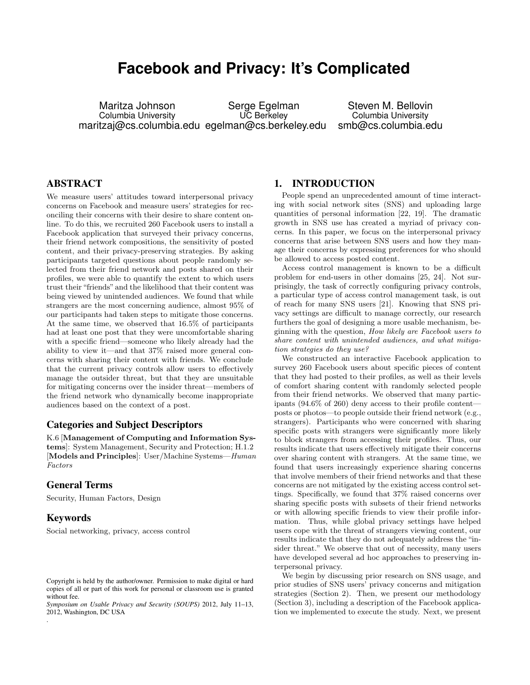# **Facebook and Privacy: It's Complicated**

Maritza Johnson Columbia University maritzaj@cs.columbia.edu egelman@cs.berkeley.edu Serge Egelman UC Berkeley

Steven M. Bellovin Columbia University smb@cs.columbia.edu

### ABSTRACT

We measure users' attitudes toward interpersonal privacy concerns on Facebook and measure users' strategies for reconciling their concerns with their desire to share content online. To do this, we recruited 260 Facebook users to install a Facebook application that surveyed their privacy concerns, their friend network compositions, the sensitivity of posted content, and their privacy-preserving strategies. By asking participants targeted questions about people randomly selected from their friend network and posts shared on their profiles, we were able to quantify the extent to which users trust their "friends" and the likelihood that their content was being viewed by unintended audiences. We found that while strangers are the most concerning audience, almost 95% of our participants had taken steps to mitigate those concerns. At the same time, we observed that 16.5% of participants had at least one post that they were uncomfortable sharing with a specific friend—someone who likely already had the ability to view it—and that 37% raised more general concerns with sharing their content with friends. We conclude that the current privacy controls allow users to effectively manage the outsider threat, but that they are unsuitable for mitigating concerns over the insider threat—members of the friend network who dynamically become inappropriate audiences based on the context of a post.

### Categories and Subject Descriptors

K.6 [Management of Computing and Information Systems]: System Management, Security and Protection; H.1.2 [Models and Principles]: User/Machine Systems—Human Factors

### General Terms

Security, Human Factors, Design

#### Keywords

.

Social networking, privacy, access control

#### 1. INTRODUCTION

People spend an unprecedented amount of time interacting with social network sites (SNS) and uploading large quantities of personal information [22, 19]. The dramatic growth in SNS use has created a myriad of privacy concerns. In this paper, we focus on the interpersonal privacy concerns that arise between SNS users and how they manage their concerns by expressing preferences for who should be allowed to access posted content.

Access control management is known to be a difficult problem for end-users in other domains [25, 24]. Not surprisingly, the task of correctly configuring privacy controls, a particular type of access control management task, is out of reach for many SNS users [21]. Knowing that SNS privacy settings are difficult to manage correctly, our research furthers the goal of designing a more usable mechanism, beginning with the question, How likely are Facebook users to share content with unintended audiences, and what mitigation strategies do they use?

We constructed an interactive Facebook application to survey 260 Facebook users about specific pieces of content that they had posted to their profiles, as well as their levels of comfort sharing content with randomly selected people from their friend networks. We observed that many participants (94.6% of 260) deny access to their profile content posts or photos—to people outside their friend network (e.g., strangers). Participants who were concerned with sharing specific posts with strangers were significantly more likely to block strangers from accessing their profiles. Thus, our results indicate that users effectively mitigate their concerns over sharing content with strangers. At the same time, we found that users increasingly experience sharing concerns that involve members of their friend networks and that these concerns are not mitigated by the existing access control settings. Specifically, we found that 37% raised concerns over sharing specific posts with subsets of their friend networks or with allowing specific friends to view their profile information. Thus, while global privacy settings have helped users cope with the threat of strangers viewing content, our results indicate that they do not adequately address the "insider threat." We observe that out of necessity, many users have developed several ad hoc approaches to preserving interpersonal privacy.

We begin by discussing prior research on SNS usage, and prior studies of SNS users' privacy concerns and mitigation strategies (Section 2). Then, we present our methodology (Section 3), including a description of the Facebook application we implemented to execute the study. Next, we present

Copyright is held by the author/owner. Permission to make digital or hard copies of all or part of this work for personal or classroom use is granted without fee.

*Symposium on Usable Privacy and Security (SOUPS)* 2012, July 11–13, 2012, Washington, DC USA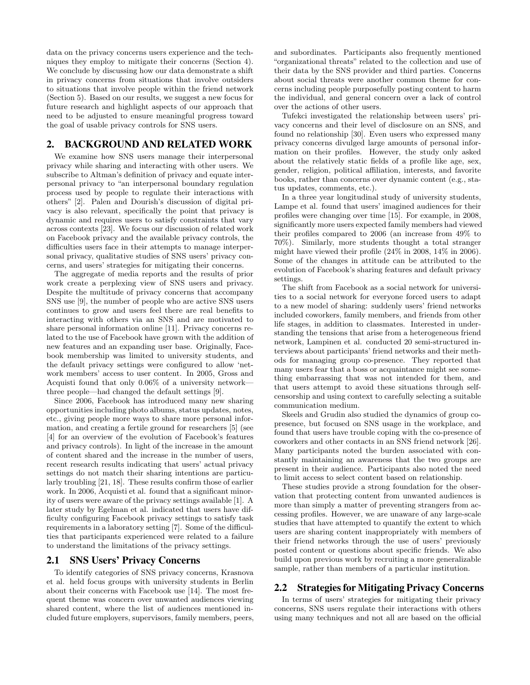data on the privacy concerns users experience and the techniques they employ to mitigate their concerns (Section 4). We conclude by discussing how our data demonstrate a shift in privacy concerns from situations that involve outsiders to situations that involve people within the friend network (Section 5). Based on our results, we suggest a new focus for future research and highlight aspects of our approach that need to be adjusted to ensure meaningful progress toward the goal of usable privacy controls for SNS users.

### 2. BACKGROUND AND RELATED WORK

We examine how SNS users manage their interpersonal privacy while sharing and interacting with other users. We subscribe to Altman's definition of privacy and equate interpersonal privacy to "an interpersonal boundary regulation process used by people to regulate their interactions with others" [2]. Palen and Dourish's discussion of digital privacy is also relevant, specifically the point that privacy is dynamic and requires users to satisfy constraints that vary across contexts [23]. We focus our discussion of related work on Facebook privacy and the available privacy controls, the difficulties users face in their attempts to manage interpersonal privacy, qualitative studies of SNS users' privacy concerns, and users' strategies for mitigating their concerns.

The aggregate of media reports and the results of prior work create a perplexing view of SNS users and privacy. Despite the multitude of privacy concerns that accompany SNS use [9], the number of people who are active SNS users continues to grow and users feel there are real benefits to interacting with others via an SNS and are motivated to share personal information online [11]. Privacy concerns related to the use of Facebook have grown with the addition of new features and an expanding user base. Originally, Facebook membership was limited to university students, and the default privacy settings were configured to allow 'network members' access to user content. In 2005, Gross and Acquisti found that only 0.06% of a university network three people—had changed the default settings [9].

Since 2006, Facebook has introduced many new sharing opportunities including photo albums, status updates, notes, etc., giving people more ways to share more personal information, and creating a fertile ground for researchers [5] (see [4] for an overview of the evolution of Facebook's features and privacy controls). In light of the increase in the amount of content shared and the increase in the number of users, recent research results indicating that users' actual privacy settings do not match their sharing intentions are particularly troubling [21, 18]. These results confirm those of earlier work. In 2006, Acquisti et al. found that a significant minority of users were aware of the privacy settings available [1]. A later study by Egelman et al. indicated that users have difficulty configuring Facebook privacy settings to satisfy task requirements in a laboratory setting [7]. Some of the difficulties that participants experienced were related to a failure to understand the limitations of the privacy settings.

### 2.1 SNS Users' Privacy Concerns

To identify categories of SNS privacy concerns, Krasnova et al. held focus groups with university students in Berlin about their concerns with Facebook use [14]. The most frequent theme was concern over unwanted audiences viewing shared content, where the list of audiences mentioned included future employers, supervisors, family members, peers, and subordinates. Participants also frequently mentioned "organizational threats" related to the collection and use of their data by the SNS provider and third parties. Concerns about social threats were another common theme for concerns including people purposefully posting content to harm the individual, and general concern over a lack of control over the actions of other users.

Tufekci investigated the relationship between users' privacy concerns and their level of disclosure on an SNS, and found no relationship [30]. Even users who expressed many privacy concerns divulged large amounts of personal information on their profiles. However, the study only asked about the relatively static fields of a profile like age, sex, gender, religion, political affiliation, interests, and favorite books, rather than concerns over dynamic content (e.g., status updates, comments, etc.).

In a three year longitudinal study of university students, Lampe et al. found that users' imagined audiences for their profiles were changing over time [15]. For example, in 2008, significantly more users expected family members had viewed their profiles compared to 2006 (an increase from 49% to 70%). Similarly, more students thought a total stranger might have viewed their profile (24% in 2008, 14% in 2006). Some of the changes in attitude can be attributed to the evolution of Facebook's sharing features and default privacy settings.

The shift from Facebook as a social network for universities to a social network for everyone forced users to adapt to a new model of sharing: suddenly users' friend networks included coworkers, family members, and friends from other life stages, in addition to classmates. Interested in understanding the tensions that arise from a heterogeneous friend network, Lampinen et al. conducted 20 semi-structured interviews about participants' friend networks and their methods for managing group co-presence. They reported that many users fear that a boss or acquaintance might see something embarrassing that was not intended for them, and that users attempt to avoid these situations through selfcensorship and using context to carefully selecting a suitable communication medium.

Skeels and Grudin also studied the dynamics of group copresence, but focused on SNS usage in the workplace, and found that users have trouble coping with the co-presence of coworkers and other contacts in an SNS friend network [26]. Many participants noted the burden associated with constantly maintaining an awareness that the two groups are present in their audience. Participants also noted the need to limit access to select content based on relationship.

These studies provide a strong foundation for the observation that protecting content from unwanted audiences is more than simply a matter of preventing strangers from accessing profiles. However, we are unaware of any large-scale studies that have attempted to quantify the extent to which users are sharing content inappropriately with members of their friend networks through the use of users' previously posted content or questions about specific friends. We also build upon previous work by recruiting a more generalizable sample, rather than members of a particular institution.

### 2.2 Strategies for Mitigating Privacy Concerns

In terms of users' strategies for mitigating their privacy concerns, SNS users regulate their interactions with others using many techniques and not all are based on the official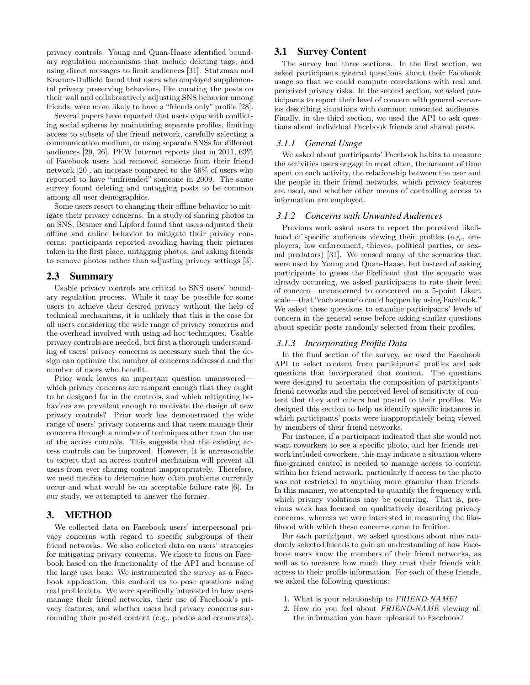privacy controls. Young and Quan-Haase identified boundary regulation mechanisms that include deleting tags, and using direct messages to limit audiences [31]. Stutzman and Kramer-Duffield found that users who employed supplemental privacy preserving behaviors, like curating the posts on their wall and collaboratively adjusting SNS behavior among friends, were more likely to have a "friends only" profile [28].

Several papers have reported that users cope with conflicting social spheres by maintaining separate profiles, limiting access to subsets of the friend network, carefully selecting a communication medium, or using separate SNSs for different audiences [29, 26]. PEW Internet reports that in 2011, 63% of Facebook users had removed someone from their friend network [20], an increase compared to the 56% of users who reported to have "unfriended" someone in 2009. The same survey found deleting and untagging posts to be common among all user demographics.

Some users resort to changing their offline behavior to mitigate their privacy concerns. In a study of sharing photos in an SNS, Besmer and Lipford found that users adjusted their offline and online behavior to mitigate their privacy concerns: participants reported avoiding having their pictures taken in the first place, untagging photos, and asking friends to remove photos rather than adjusting privacy settings [3].

#### 2.3 Summary

Usable privacy controls are critical to SNS users' boundary regulation process. While it may be possible for some users to achieve their desired privacy without the help of technical mechanisms, it is unlikely that this is the case for all users considering the wide range of privacy concerns and the overhead involved with using ad hoc techniques. Usable privacy controls are needed, but first a thorough understanding of users' privacy concerns is necessary such that the design can optimize the number of concerns addressed and the number of users who benefit.

Prior work leaves an important question unanswered which privacy concerns are rampant enough that they ought to be designed for in the controls, and which mitigating behaviors are prevalent enough to motivate the design of new privacy controls? Prior work has demonstrated the wide range of users' privacy concerns and that users manage their concerns through a number of techniques other than the use of the access controls. This suggests that the existing access controls can be improved. However, it is unreasonable to expect that an access control mechanism will prevent all users from ever sharing content inappropriately. Therefore, we need metrics to determine how often problems currently occur and what would be an acceptable failure rate [6]. In our study, we attempted to answer the former.

### 3. METHOD

We collected data on Facebook users' interpersonal privacy concerns with regard to specific subgroups of their friend networks. We also collected data on users' strategies for mitigating privacy concerns. We chose to focus on Facebook based on the functionality of the API and because of the large user base. We instrumented the survey as a Facebook application; this enabled us to pose questions using real profile data. We were specifically interested in how users manage their friend networks, their use of Facebook's privacy features, and whether users had privacy concerns surrounding their posted content (e.g., photos and comments).

### 3.1 Survey Content

The survey had three sections. In the first section, we asked participants general questions about their Facebook usage so that we could compute correlations with real and perceived privacy risks. In the second section, we asked participants to report their level of concern with general scenarios describing situations with common unwanted audiences. Finally, in the third section, we used the API to ask questions about individual Facebook friends and shared posts.

#### *3.1.1 General Usage*

We asked about participants' Facebook habits to measure the activities users engage in most often, the amount of time spent on each activity, the relationship between the user and the people in their friend networks, which privacy features are used, and whether other means of controlling access to information are employed.

#### *3.1.2 Concerns with Unwanted Audiences*

Previous work asked users to report the perceived likelihood of specific audiences viewing their profiles (e.g., employers, law enforcement, thieves, political parties, or sexual predators) [31]. We reused many of the scenarios that were used by Young and Quan-Haase, but instead of asking participants to guess the likelihood that the scenario was already occurring, we asked participants to rate their level of concern—unconcerned to concerned on a 5-point Likert scale—that "each scenario could happen by using Facebook." We asked these questions to examine participants' levels of concern in the general sense before asking similar questions about specific posts randomly selected from their profiles.

#### *3.1.3 Incorporating Profile Data*

In the final section of the survey, we used the Facebook API to select content from participants' profiles and ask questions that incorporated that content. The questions were designed to ascertain the composition of participants' friend networks and the perceived level of sensitivity of content that they and others had posted to their profiles. We designed this section to help us identify specific instances in which participants' posts were inappropriately being viewed by members of their friend networks.

For instance, if a participant indicated that she would not want coworkers to see a specific photo, and her friends network included coworkers, this may indicate a situation where fine-grained control is needed to manage access to content within her friend network, particularly if access to the photo was not restricted to anything more granular than friends. In this manner, we attempted to quantify the frequency with which privacy violations may be occurring. That is, previous work has focused on qualitatively describing privacy concerns, whereas we were interested in measuring the likelihood with which these concerns come to fruition.

For each participant, we asked questions about nine randomly selected friends to gain an understanding of how Facebook users know the members of their friend networks, as well as to measure how much they trust their friends with access to their profile information. For each of these friends, we asked the following questions:

- 1. What is your relationship to FRIEND-NAME?
- 2. How do you feel about FRIEND-NAME viewing all the information you have uploaded to Facebook?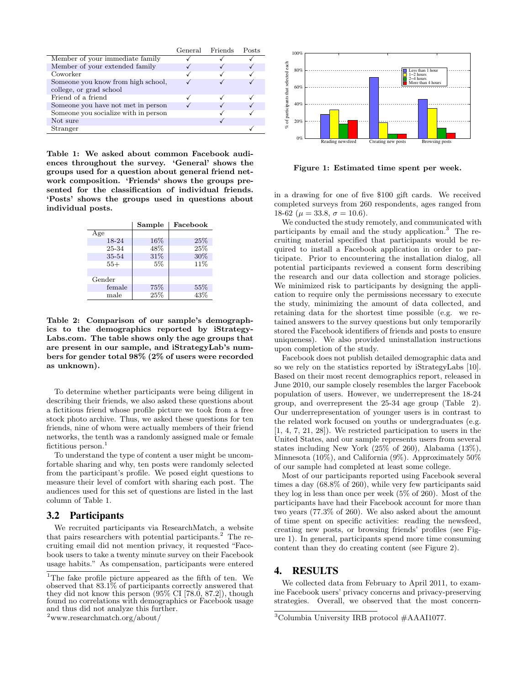|                                      | General | Friends | Posts |
|--------------------------------------|---------|---------|-------|
| Member of your immediate family      |         |         |       |
| Member of your extended family       |         |         |       |
| Coworker                             |         |         |       |
| Someone you know from high school,   |         |         |       |
| college, or grad school              |         |         |       |
| Friend of a friend                   |         |         |       |
| Someone you have not met in person   |         |         |       |
| Someone you socialize with in person |         |         |       |
| Not sure                             |         |         |       |
| Stranger                             |         |         |       |

Table 1: We asked about common Facebook audiences throughout the survey. 'General' shows the groups used for a question about general friend network composition. 'Friends' shows the groups presented for the classification of individual friends. 'Posts' shows the groups used in questions about individual posts.

|        | Sample | Facebook |
|--------|--------|----------|
| Age    |        |          |
| 18-24  | 16%    | 25%      |
| 25-34  | 48%    | 25%      |
| 35-54  | 31\%   | 30%      |
| $55+$  | 5%     | 11\%     |
|        |        |          |
| Gender |        |          |
| female | 75%    | 55%      |
| male   | 25%    | 43%      |

Table 2: Comparison of our sample's demographics to the demographics reported by iStrategy-Labs.com. The table shows only the age groups that are present in our sample, and iStrategyLab's numbers for gender total 98% (2% of users were recorded as unknown).

To determine whether participants were being diligent in describing their friends, we also asked these questions about a fictitious friend whose profile picture we took from a free stock photo archive. Thus, we asked these questions for ten friends, nine of whom were actually members of their friend networks, the tenth was a randomly assigned male or female fictitious person.<sup>1</sup>

To understand the type of content a user might be uncomfortable sharing and why, ten posts were randomly selected from the participant's profile. We posed eight questions to measure their level of comfort with sharing each post. The audiences used for this set of questions are listed in the last column of Table 1.

#### 3.2 Participants

We recruited participants via ResearchMatch, a website that pairs researchers with potential participants. $^2$  The recruiting email did not mention privacy, it requested "Facebook users to take a twenty minute survey on their Facebook usage habits." As compensation, participants were entered

<sup>2</sup>www.researchmatch.org/about/



Figure 1: Estimated time spent per week.

in a drawing for one of five \$100 gift cards. We received completed surveys from 260 respondents, ages ranged from 18-62 ( $\mu = 33.8, \sigma = 10.6$ ).

We conducted the study remotely, and communicated with participants by email and the study application. $3$  The recruiting material specified that participants would be required to install a Facebook application in order to participate. Prior to encountering the installation dialog, all potential participants reviewed a consent form describing the research and our data collection and storage policies. We minimized risk to participants by designing the application to require only the permissions necessary to execute the study, minimizing the amount of data collected, and retaining data for the shortest time possible (e.g. we retained answers to the survey questions but only temporarily stored the Facebook identifiers of friends and posts to ensure uniqueness). We also provided uninstallation instructions upon completion of the study.

Facebook does not publish detailed demographic data and so we rely on the statistics reported by iStrategyLabs [10]. Based on their most recent demographics report, released in June 2010, our sample closely resembles the larger Facebook population of users. However, we underrepresent the 18-24 group, and overrepresent the 25-34 age group (Table 2). Our underrepresentation of younger users is in contrast to the related work focused on youths or undergraduates (e.g. [1, 4, 7, 21, 28]). We restricted participation to users in the United States, and our sample represents users from several states including New York (25% of 260), Alabama (13%), Minnesota (10%), and California (9%). Approximately 50% of our sample had completed at least some college.

Most of our participants reported using Facebook several times a day (68.8% of 260), while very few participants said they log in less than once per week (5% of 260). Most of the participants have had their Facebook account for more than two years (77.3% of 260). We also asked about the amount of time spent on specific activities: reading the newsfeed, creating new posts, or browsing friends' profiles (see Figure 1). In general, participants spend more time consuming content than they do creating content (see Figure 2).

### 4. RESULTS

We collected data from February to April 2011, to examine Facebook users' privacy concerns and privacy-preserving strategies. Overall, we observed that the most concern-

<sup>&</sup>lt;sup>1</sup>The fake profile picture appeared as the fifth of ten. We observed that 83.1% of participants correctly answered that they did not know this person  $(95\% \text{ CI } [78.0, 87.2])$ , though found no correlations with demographics or Facebook usage and thus did not analyze this further.

<sup>3</sup>Columbia University IRB protocol #AAAI1077.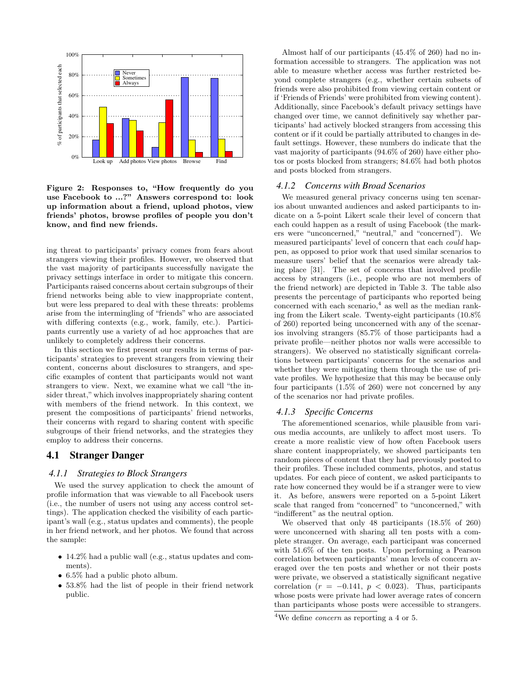

Figure 2: Responses to, "How frequently do you use Facebook to ...?" Answers correspond to: look up information about a friend, upload photos, view friends' photos, browse profiles of people you don't know, and find new friends.

ing threat to participants' privacy comes from fears about strangers viewing their profiles. However, we observed that the vast majority of participants successfully navigate the privacy settings interface in order to mitigate this concern. Participants raised concerns about certain subgroups of their friend networks being able to view inappropriate content, but were less prepared to deal with these threats: problems arise from the intermingling of "friends" who are associated with differing contexts (e.g., work, family, etc.). Participants currently use a variety of ad hoc approaches that are unlikely to completely address their concerns.

In this section we first present our results in terms of participants' strategies to prevent strangers from viewing their content, concerns about disclosures to strangers, and specific examples of content that participants would not want strangers to view. Next, we examine what we call "the insider threat," which involves inappropriately sharing content with members of the friend network. In this context, we present the compositions of participants' friend networks, their concerns with regard to sharing content with specific subgroups of their friend networks, and the strategies they employ to address their concerns.

### 4.1 Stranger Danger

#### *4.1.1 Strategies to Block Strangers*

We used the survey application to check the amount of profile information that was viewable to all Facebook users (i.e., the number of users not using any access control settings). The application checked the visibility of each participant's wall (e.g., status updates and comments), the people in her friend network, and her photos. We found that across the sample:

- 14.2% had a public wall (e.g., status updates and comments).
- 6.5% had a public photo album.
- 53.8% had the list of people in their friend network public.

Almost half of our participants (45.4% of 260) had no information accessible to strangers. The application was not able to measure whether access was further restricted beyond complete strangers (e.g., whether certain subsets of friends were also prohibited from viewing certain content or if 'Friends of Friends' were prohibited from viewing content). Additionally, since Facebook's default privacy settings have changed over time, we cannot definitively say whether participants' had actively blocked strangers from accessing this content or if it could be partially attributed to changes in default settings. However, these numbers do indicate that the vast majority of participants (94.6% of 260) have either photos or posts blocked from strangers; 84.6% had both photos and posts blocked from strangers.

#### *4.1.2 Concerns with Broad Scenarios*

We measured general privacy concerns using ten scenarios about unwanted audiences and asked participants to indicate on a 5-point Likert scale their level of concern that each could happen as a result of using Facebook (the markers were "unconcerned," "neutral," and "concerned"). We measured participants' level of concern that each could happen, as opposed to prior work that used similar scenarios to measure users' belief that the scenarios were already taking place [31]. The set of concerns that involved profile access by strangers (i.e., people who are not members of the friend network) are depicted in Table 3. The table also presents the percentage of participants who reported being concerned with each scenario,<sup>4</sup> as well as the median ranking from the Likert scale. Twenty-eight participants (10.8% of 260) reported being unconcerned with any of the scenarios involving strangers (85.7% of those participants had a private profile—neither photos nor walls were accessible to strangers). We observed no statistically significant correlations between participants' concerns for the scenarios and whether they were mitigating them through the use of private profiles. We hypothesize that this may be because only four participants (1.5% of 260) were not concerned by any of the scenarios nor had private profiles.

#### *4.1.3 Specific Concerns*

The aforementioned scenarios, while plausible from various media accounts, are unlikely to affect most users. To create a more realistic view of how often Facebook users share content inappropriately, we showed participants ten random pieces of content that they had previously posted to their profiles. These included comments, photos, and status updates. For each piece of content, we asked participants to rate how concerned they would be if a stranger were to view it. As before, answers were reported on a 5-point Likert scale that ranged from "concerned" to "unconcerned," with "indifferent" as the neutral option.

We observed that only 48 participants (18.5% of 260) were unconcerned with sharing all ten posts with a complete stranger. On average, each participant was concerned with 51.6% of the ten posts. Upon performing a Pearson correlation between participants' mean levels of concern averaged over the ten posts and whether or not their posts were private, we observed a statistically significant negative correlation ( $r = -0.141$ ,  $p < 0.023$ ). Thus, participants whose posts were private had lower average rates of concern than participants whose posts were accessible to strangers.

<sup>4</sup>We define concern as reporting a 4 or 5.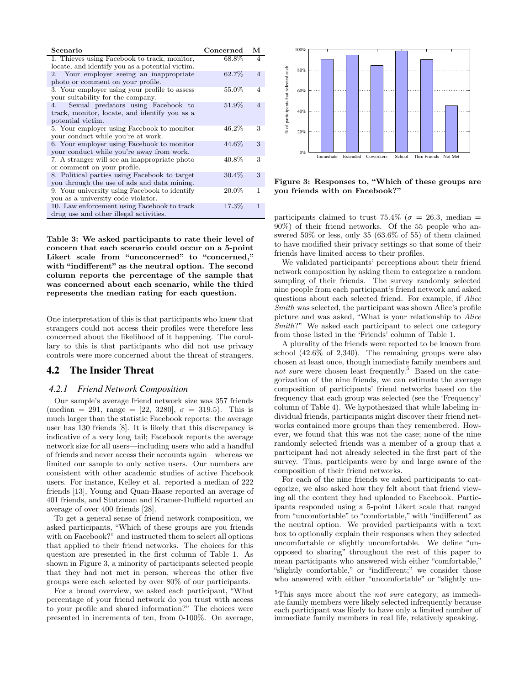| Scenario                                                                                     | $\rm{Concerned}$ | м              |
|----------------------------------------------------------------------------------------------|------------------|----------------|
| 1. Thieves using Facebook to track, monitor,                                                 | $68.8\%$         | $\overline{4}$ |
| locate, and identify you as a potential victim.                                              |                  |                |
| 2. Your employer seeing an inappropriate<br>photo or comment on your profile.                | 62.7%            | $\overline{4}$ |
| 3. Your employer using your profile to assess<br>your suitability for the company.           | 55.0%            | 4              |
| Sexual predators using Facebook to<br>4.<br>track, monitor, locate, and identify you as a    | 51.9%            | $\overline{4}$ |
| potential victim.                                                                            |                  |                |
| 5. Your employer using Facebook to monitor<br>your conduct while you're at work.             | 46.2%            | 3              |
| 6. Your employer using Facebook to monitor<br>your conduct while you're away from work.      | 44.6%            | 3              |
| 7. A stranger will see an inappropriate photo<br>or comment on your profile.                 | $40.8\%$         | 3              |
| 8. Political parties using Facebook to target<br>you through the use of ads and data mining. | 30.4%            | 3              |
| 9. Your university using Facebook to identify<br>you as a university code violator.          | $20.0\%$         | 1              |
| 10. Law enforcement using Facebook to track<br>drug use and other illegal activities.        | 17.3%            |                |

Table 3: We asked participants to rate their level of concern that each scenario could occur on a 5-point Likert scale from "unconcerned" to "concerned," with "indifferent" as the neutral option. The second column reports the percentage of the sample that was concerned about each scenario, while the third represents the median rating for each question.

One interpretation of this is that participants who knew that strangers could not access their profiles were therefore less concerned about the likelihood of it happening. The corollary to this is that participants who did not use privacy controls were more concerned about the threat of strangers.

### 4.2 The Insider Threat

#### *4.2.1 Friend Network Composition*

Our sample's average friend network size was 357 friends (median = 291, range = [22, 3280],  $\sigma$  = 319.5). This is much larger than the statistic Facebook reports: the average user has 130 friends [8]. It is likely that this discrepancy is indicative of a very long tail; Facebook reports the average network size for all users—including users who add a handful of friends and never access their accounts again—whereas we limited our sample to only active users. Our numbers are consistent with other academic studies of active Facebook users. For instance, Kelley et al. reported a median of 222 friends [13], Young and Quan-Haase reported an average of 401 friends, and Stutzman and Kramer-Duffield reported an average of over 400 friends [28].

To get a general sense of friend network composition, we asked participants, "Which of these groups are you friends with on Facebook?" and instructed them to select all options that applied to their friend networks. The choices for this question are presented in the first column of Table 1. As shown in Figure 3, a minority of participants selected people that they had not met in person, whereas the other five groups were each selected by over 80% of our participants.

For a broad overview, we asked each participant, "What percentage of your friend network do you trust with access to your profile and shared information?" The choices were presented in increments of ten, from 0-100%. On average,



Figure 3: Responses to, "Which of these groups are you friends with on Facebook?"

participants claimed to trust 75.4% ( $\sigma = 26.3$ , median = 90%) of their friend networks. Of the 55 people who answered 50% or less, only 35 (63.6% of 55) of them claimed to have modified their privacy settings so that some of their friends have limited access to their profiles.

We validated participants' perceptions about their friend network composition by asking them to categorize a random sampling of their friends. The survey randomly selected nine people from each participant's friend network and asked questions about each selected friend. For example, if Alice Smith was selected, the participant was shown Alice's profile picture and was asked, "What is your relationship to Alice Smith?" We asked each participant to select one category from those listed in the 'Friends' column of Table 1.

A plurality of the friends were reported to be known from school (42.6% of 2,340). The remaining groups were also chosen at least once, though immediate family members and not sure were chosen least frequently.<sup>5</sup> Based on the categorization of the nine friends, we can estimate the average composition of participants' friend networks based on the frequency that each group was selected (see the 'Frequency' column of Table 4). We hypothesized that while labeling individual friends, participants might discover their friend networks contained more groups than they remembered. However, we found that this was not the case; none of the nine randomly selected friends was a member of a group that a participant had not already selected in the first part of the survey. Thus, participants were by and large aware of the composition of their friend networks.

For each of the nine friends we asked participants to categorize, we also asked how they felt about that friend viewing all the content they had uploaded to Facebook. Participants responded using a 5-point Likert scale that ranged from "uncomfortable" to "comfortable," with "indifferent" as the neutral option. We provided participants with a text box to optionally explain their responses when they selected uncomfortable or slightly uncomfortable. We define "unopposed to sharing" throughout the rest of this paper to mean participants who answered with either "comfortable," "slightly comfortable," or "indifferent;" we consider those who answered with either "uncomfortable" or "slightly un-

<sup>5</sup>This says more about the not sure category, as immediate family members were likely selected infrequently because each participant was likely to have only a limited number of immediate family members in real life, relatively speaking.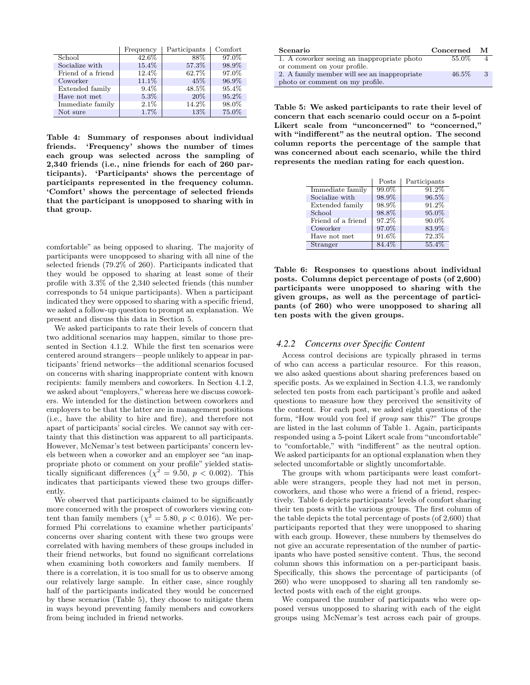|                    | Frequency | Participants | Comfort |
|--------------------|-----------|--------------|---------|
| School             | 42.6%     | 88%          | 97.0%   |
| Socialize with     | 15.4%     | 57.3%        | 98.9%   |
| Friend of a friend | 12.4%     | 62.7%        | 97.0%   |
| Coworker           | 11.1%     | 45%          | 96.9%   |
| Extended family    | $9.4\%$   | 48.5%        | 95.4%   |
| Have not met       | 5.3%      | 20%          | 95.2%   |
| Immediate family   | $2.1\%$   | 14.2%        | 98.0%   |
| Not sure           | 1.7%      | 13%          | 75.0%   |

Table 4: Summary of responses about individual friends. 'Frequency' shows the number of times each group was selected across the sampling of 2,340 friends (i.e., nine friends for each of 260 participants). 'Participants' shows the percentage of participants represented in the frequency column. 'Comfort' shows the percentage of selected friends that the participant is unopposed to sharing with in that group.

comfortable" as being opposed to sharing. The majority of participants were unopposed to sharing with all nine of the selected friends (79.2% of 260). Participants indicated that they would be opposed to sharing at least some of their profile with 3.3% of the 2,340 selected friends (this number corresponds to 54 unique participants). When a participant indicated they were opposed to sharing with a specific friend, we asked a follow-up question to prompt an explanation. We present and discuss this data in Section 5.

We asked participants to rate their levels of concern that two additional scenarios may happen, similar to those presented in Section 4.1.2. While the first ten scenarios were centered around strangers—people unlikely to appear in participants' friend networks—the additional scenarios focused on concerns with sharing inappropriate content with known recipients: family members and coworkers. In Section 4.1.2, we asked about"employers," whereas here we discuss coworkers. We intended for the distinction between coworkers and employers to be that the latter are in management positions (i.e., have the ability to hire and fire), and therefore not apart of participants' social circles. We cannot say with certainty that this distinction was apparent to all participants. However, McNemar's test between participants' concern levels between when a coworker and an employer see "an inappropriate photo or comment on your profile" yielded statistically significant differences  $(\chi^2 = 9.50, p < 0.002)$ . This indicates that participants viewed these two groups differently.

We observed that participants claimed to be significantly more concerned with the prospect of coworkers viewing content than family members ( $\chi^2 = 5.80, p < 0.016$ ). We performed Phi correlations to examine whether participants' concerns over sharing content with these two groups were correlated with having members of these groups included in their friend networks, but found no significant correlations when examining both coworkers and family members. If there is a correlation, it is too small for us to observe among our relatively large sample. In either case, since roughly half of the participants indicated they would be concerned by these scenarios (Table 5), they choose to mitigate them in ways beyond preventing family members and coworkers from being included in friend networks.

| Scenario                                     | Concerned | M |
|----------------------------------------------|-----------|---|
| 1. A coworker seeing an inappropriate photo  | 55.0%     |   |
| or comment on your profile.                  |           |   |
| 2. A family member will see an inappropriate | $46.5\%$  |   |
| photo or comment on my profile.              |           |   |

Table 5: We asked participants to rate their level of concern that each scenario could occur on a 5-point Likert scale from "unconcerned" to "concerned," with "indifferent" as the neutral option. The second column reports the percentage of the sample that was concerned about each scenario, while the third represents the median rating for each question.

|                    | Posts | Participants |
|--------------------|-------|--------------|
| Immediate family   | 99.0% | 91.2%        |
| Socialize with     | 98.9% | 96.5%        |
| Extended family    | 98.9% | 91.2%        |
| School             | 98.8% | 95.0%        |
| Friend of a friend | 97.2% | 90.0%        |
| Coworker           | 97.0% | 83.9%        |
| Have not met       | 91.6% | 72.3%        |
| Stranger           | 84.4% | 55.4%        |

Table 6: Responses to questions about individual posts. Columns depict percentage of posts (of 2,600) participants were unopposed to sharing with the given groups, as well as the percentage of participants (of 260) who were unopposed to sharing all ten posts with the given groups.

#### *4.2.2 Concerns over Specific Content*

Access control decisions are typically phrased in terms of who can access a particular resource. For this reason, we also asked questions about sharing preferences based on specific posts. As we explained in Section 4.1.3, we randomly selected ten posts from each participant's profile and asked questions to measure how they perceived the sensitivity of the content. For each post, we asked eight questions of the form, "How would you feel if group saw this?" The groups are listed in the last column of Table 1. Again, participants responded using a 5-point Likert scale from "uncomfortable" to "comfortable," with "indifferent" as the neutral option. We asked participants for an optional explanation when they selected uncomfortable or slightly uncomfortable.

The groups with whom participants were least comfortable were strangers, people they had not met in person, coworkers, and those who were a friend of a friend, respectively. Table 6 depicts participants' levels of comfort sharing their ten posts with the various groups. The first column of the table depicts the total percentage of posts (of 2,600) that participants reported that they were unopposed to sharing with each group. However, these numbers by themselves do not give an accurate representation of the number of participants who have posted sensitive content. Thus, the second column shows this information on a per-participant basis. Specifically, this shows the percentage of participants (of 260) who were unopposed to sharing all ten randomly selected posts with each of the eight groups.

We compared the number of participants who were opposed versus unopposed to sharing with each of the eight groups using McNemar's test across each pair of groups.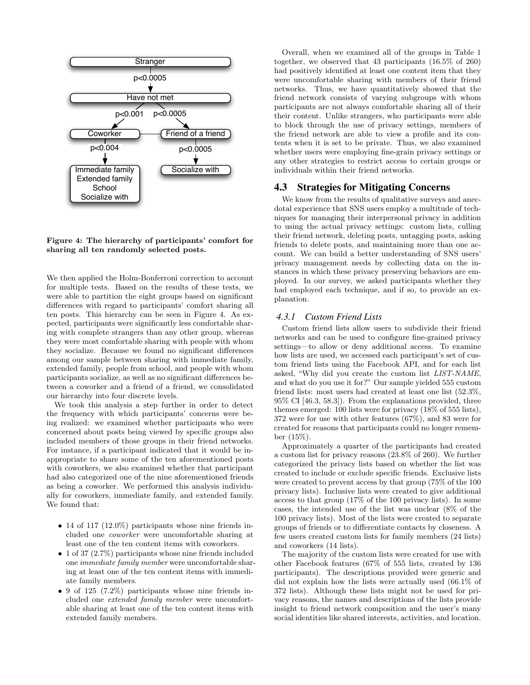

Figure 4: The hierarchy of participants' comfort for sharing all ten randomly selected posts.

We then applied the Holm-Bonferroni correction to account for multiple tests. Based on the results of these tests, we were able to partition the eight groups based on significant differences with regard to participants' comfort sharing all ten posts. This hierarchy can be seen in Figure 4. As expected, participants were significantly less comfortable sharing with complete strangers than any other group, whereas they were most comfortable sharing with people with whom they socialize. Because we found no significant differences among our sample between sharing with immediate family, extended family, people from school, and people with whom participants socialize, as well as no significant differences between a coworker and a friend of a friend, we consolidated our hierarchy into four discrete levels.

We took this analysis a step further in order to detect the frequency with which participants' concerns were being realized: we examined whether participants who were concerned about posts being viewed by specific groups also included members of those groups in their friend networks. For instance, if a participant indicated that it would be inappropriate to share some of the ten aforementioned posts with coworkers, we also examined whether that participant had also categorized one of the nine aforementioned friends as being a coworker. We performed this analysis individually for coworkers, immediate family, and extended family. We found that:

- 14 of 117 (12.0%) participants whose nine friends included one coworker were uncomfortable sharing at least one of the ten content items with coworkers.
- $\bullet$  1 of 37 (2.7%) participants whose nine friends included one immediate family member were uncomfortable sharing at least one of the ten content items with immediate family members.
- 9 of 125 (7.2%) participants whose nine friends included one extended family member were uncomfortable sharing at least one of the ten content items with extended family members.

Overall, when we examined all of the groups in Table 1 together, we observed that 43 participants (16.5% of 260) had positively identified at least one content item that they were uncomfortable sharing with members of their friend networks. Thus, we have quantitatively showed that the friend network consists of varying subgroups with whom participants are not always comfortable sharing all of their their content. Unlike strangers, who participants were able to block through the use of privacy settings, members of the friend network are able to view a profile and its contents when it is set to be private. Thus, we also examined whether users were employing fine-grain privacy settings or any other strategies to restrict access to certain groups or individuals within their friend networks.

### 4.3 Strategies for Mitigating Concerns

We know from the results of qualitative surveys and anecdotal experience that SNS users employ a multitude of techniques for managing their interpersonal privacy in addition to using the actual privacy settings: custom lists, culling their friend network, deleting posts, untagging posts, asking friends to delete posts, and maintaining more than one account. We can build a better understanding of SNS users' privacy management needs by collecting data on the instances in which these privacy preserving behaviors are employed. In our survey, we asked participants whether they had employed each technique, and if so, to provide an explanation.

#### *4.3.1 Custom Friend Lists*

Custom friend lists allow users to subdivide their friend networks and can be used to configure fine-grained privacy settings—to allow or deny additional access. To examine how lists are used, we accessed each participant's set of custom friend lists using the Facebook API, and for each list asked, "Why did you create the custom list LIST-NAME, and what do you use it for?" Our sample yielded 555 custom friend lists: most users had created at least one list (52.3%, 95% CI [46.3, 58.3]). From the explanations provided, three themes emerged: 100 lists were for privacy (18% of 555 lists), 372 were for use with other features (67%), and 83 were for created for reasons that participants could no longer remember (15%).

Approximately a quarter of the participants had created a custom list for privacy reasons (23.8% of 260). We further categorized the privacy lists based on whether the list was created to include or exclude specific friends. Exclusive lists were created to prevent access by that group (75% of the 100 privacy lists). Inclusive lists were created to give additional access to that group (17% of the 100 privacy lists). In some cases, the intended use of the list was unclear (8% of the 100 privacy lists). Most of the lists were created to separate groups of friends or to differentiate contacts by closeness. A few users created custom lists for family members (24 lists) and coworkers (14 lists).

The majority of the custom lists were created for use with other Facebook features (67% of 555 lists, created by 136 participants). The descriptions provided were generic and did not explain how the lists were actually used (66.1% of 372 lists). Although these lists might not be used for privacy reasons, the names and descriptions of the lists provide insight to friend network composition and the user's many social identities like shared interests, activities, and location.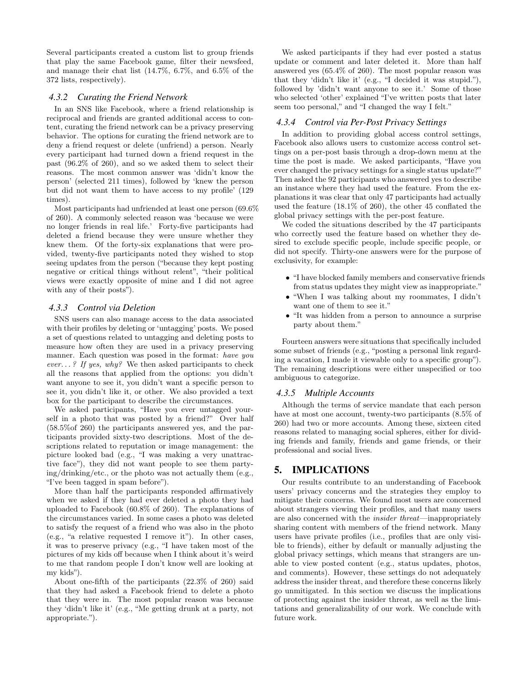Several participants created a custom list to group friends that play the same Facebook game, filter their newsfeed, and manage their chat list (14.7%, 6.7%, and 6.5% of the 372 lists, respectively).

#### *4.3.2 Curating the Friend Network*

In an SNS like Facebook, where a friend relationship is reciprocal and friends are granted additional access to content, curating the friend network can be a privacy preserving behavior. The options for curating the friend network are to deny a friend request or delete (unfriend) a person. Nearly every participant had turned down a friend request in the past (96.2% of 260), and so we asked them to select their reasons. The most common answer was 'didn't know the person' (selected 211 times), followed by 'knew the person but did not want them to have access to my profile' (129 times).

Most participants had unfriended at least one person (69.6% of 260). A commonly selected reason was 'because we were no longer friends in real life.' Forty-five participants had deleted a friend because they were unsure whether they knew them. Of the forty-six explanations that were provided, twenty-five participants noted they wished to stop seeing updates from the person ("because they kept posting negative or critical things without relent", "their political views were exactly opposite of mine and I did not agree with any of their posts").

#### *4.3.3 Control via Deletion*

SNS users can also manage access to the data associated with their profiles by deleting or 'untagging' posts. We posed a set of questions related to untagging and deleting posts to measure how often they are used in a privacy preserving manner. Each question was posed in the format: have you ever...? If yes, why? We then asked participants to check all the reasons that applied from the options: you didn't want anyone to see it, you didn't want a specific person to see it, you didn't like it, or other. We also provided a text box for the participant to describe the circumstances.

We asked participants, "Have you ever untagged yourself in a photo that was posted by a friend?" Over half (58.5%of 260) the participants answered yes, and the participants provided sixty-two descriptions. Most of the descriptions related to reputation or image management: the picture looked bad (e.g., "I was making a very unattractive face"), they did not want people to see them partying/drinking/etc., or the photo was not actually them (e.g., "I've been tagged in spam before").

More than half the participants responded affirmatively when we asked if they had ever deleted a photo they had uploaded to Facebook (60.8% of 260). The explanations of the circumstances varied. In some cases a photo was deleted to satisfy the request of a friend who was also in the photo (e.g., "a relative requested I remove it"). In other cases, it was to preserve privacy (e.g., "I have taken most of the pictures of my kids off because when I think about it's weird to me that random people I don't know well are looking at my kids").

About one-fifth of the participants (22.3% of 260) said that they had asked a Facebook friend to delete a photo that they were in. The most popular reason was because they 'didn't like it' (e.g., "Me getting drunk at a party, not appropriate.").

We asked participants if they had ever posted a status update or comment and later deleted it. More than half answered yes (65.4% of 260). The most popular reason was that they 'didn't like it' (e.g., "I decided it was stupid."), followed by 'didn't want anyone to see it.' Some of those who selected 'other' explained "I've written posts that later seem too personal," and "I changed the way I felt."

#### *4.3.4 Control via Per-Post Privacy Settings*

In addition to providing global access control settings, Facebook also allows users to customize access control settings on a per-post basis through a drop-down menu at the time the post is made. We asked participants, "Have you ever changed the privacy settings for a single status update?" Then asked the 92 participants who answered yes to describe an instance where they had used the feature. From the explanations it was clear that only 47 participants had actually used the feature (18.1% of 260), the other 45 conflated the global privacy settings with the per-post feature.

We coded the situations described by the 47 participants who correctly used the feature based on whether they desired to exclude specific people, include specific people, or did not specify. Thirty-one answers were for the purpose of exclusivity, for example:

- "I have blocked family members and conservative friends from status updates they might view as inappropriate."
- "When I was talking about my roommates, I didn't want one of them to see it."
- "It was hidden from a person to announce a surprise party about them."

Fourteen answers were situations that specifically included some subset of friends (e.g., "posting a personal link regarding a vacation, I made it viewable only to a specific group"). The remaining descriptions were either unspecified or too ambiguous to categorize.

#### *4.3.5 Multiple Accounts*

Although the terms of service mandate that each person have at most one account, twenty-two participants (8.5% of 260) had two or more accounts. Among these, sixteen cited reasons related to managing social spheres, either for dividing friends and family, friends and game friends, or their professional and social lives.

### 5. IMPLICATIONS

Our results contribute to an understanding of Facebook users' privacy concerns and the strategies they employ to mitigate their concerns. We found most users are concerned about strangers viewing their profiles, and that many users are also concerned with the insider threat—inappropriately sharing content with members of the friend network. Many users have private profiles (i.e., profiles that are only visible to friends), either by default or manually adjusting the global privacy settings, which means that strangers are unable to view posted content (e.g., status updates, photos, and comments). However, these settings do not adequately address the insider threat, and therefore these concerns likely go unmitigated. In this section we discuss the implications of protecting against the insider threat, as well as the limitations and generalizability of our work. We conclude with future work.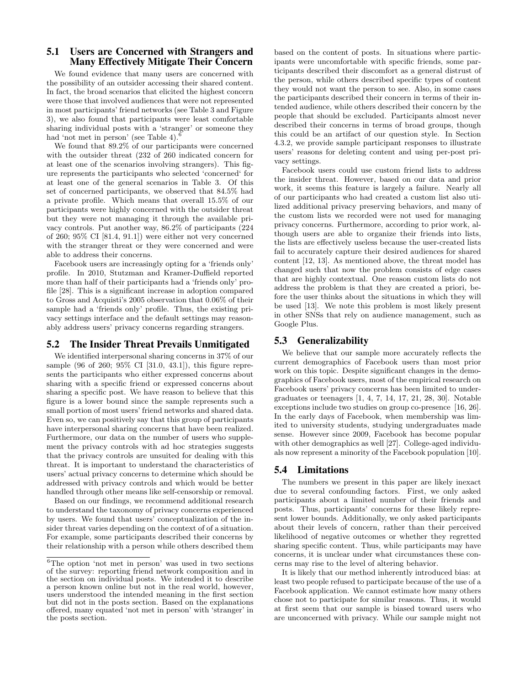### 5.1 Users are Concerned with Strangers and Many Effectively Mitigate Their Concern

We found evidence that many users are concerned with the possibility of an outsider accessing their shared content. In fact, the broad scenarios that elicited the highest concern were those that involved audiences that were not represented in most participants' friend networks (see Table 3 and Figure 3), we also found that participants were least comfortable sharing individual posts with a 'stranger' or someone they had 'not met in person' (see Table 4).

We found that 89.2% of our participants were concerned with the outsider threat (232 of 260 indicated concern for at least one of the scenarios involving strangers). This figure represents the participants who selected 'concerned' for at least one of the general scenarios in Table 3. Of this set of concerned participants, we observed that 84.5% had a private profile. Which means that overall 15.5% of our participants were highly concerned with the outsider threat but they were not managing it through the available privacy controls. Put another way, 86.2% of participants (224 of 260; 95% CI [81.4, 91.1]) were either not very concerned with the stranger threat or they were concerned and were able to address their concerns.

Facebook users are increasingly opting for a 'friends only' profile. In 2010, Stutzman and Kramer-Duffield reported more than half of their participants had a 'friends only' profile [28]. This is a significant increase in adoption compared to Gross and Acquisti's 2005 observation that 0.06% of their sample had a 'friends only' profile. Thus, the existing privacy settings interface and the default settings may reasonably address users' privacy concerns regarding strangers.

### 5.2 The Insider Threat Prevails Unmitigated

We identified interpersonal sharing concerns in 37% of our sample (96 of 260; 95% CI [31.0, 43.1]), this figure represents the participants who either expressed concerns about sharing with a specific friend or expressed concerns about sharing a specific post. We have reason to believe that this figure is a lower bound since the sample represents such a small portion of most users' friend networks and shared data. Even so, we can positively say that this group of participants have interpersonal sharing concerns that have been realized. Furthermore, our data on the number of users who supplement the privacy controls with ad hoc strategies suggests that the privacy controls are unsuited for dealing with this threat. It is important to understand the characteristics of users' actual privacy concerns to determine which should be addressed with privacy controls and which would be better handled through other means like self-censorship or removal.

Based on our findings, we recommend additional research to understand the taxonomy of privacy concerns experienced by users. We found that users' conceptualization of the insider threat varies depending on the context of of a situation. For example, some participants described their concerns by their relationship with a person while others described them based on the content of posts. In situations where participants were uncomfortable with specific friends, some participants described their discomfort as a general distrust of the person, while others described specific types of content they would not want the person to see. Also, in some cases the participants described their concern in terms of their intended audience, while others described their concern by the people that should be excluded. Participants almost never described their concerns in terms of broad groups, though this could be an artifact of our question style. In Section 4.3.2, we provide sample participant responses to illustrate users' reasons for deleting content and using per-post privacy settings.

Facebook users could use custom friend lists to address the insider threat. However, based on our data and prior work, it seems this feature is largely a failure. Nearly all of our participants who had created a custom list also utilized additional privacy preserving behaviors, and many of the custom lists we recorded were not used for managing privacy concerns. Furthermore, according to prior work, although users are able to organize their friends into lists, the lists are effectively useless because the user-created lists fail to accurately capture their desired audiences for shared content [12, 13]. As mentioned above, the threat model has changed such that now the problem consists of edge cases that are highly contextual. One reason custom lists do not address the problem is that they are created a priori, before the user thinks about the situations in which they will be used [13]. We note this problem is most likely present in other SNSs that rely on audience management, such as Google Plus.

### 5.3 Generalizability

We believe that our sample more accurately reflects the current demographics of Facebook users than most prior work on this topic. Despite significant changes in the demographics of Facebook users, most of the empirical research on Facebook users' privacy concerns has been limited to undergraduates or teenagers [1, 4, 7, 14, 17, 21, 28, 30]. Notable exceptions include two studies on group co-presence [16, 26]. In the early days of Facebook, when membership was limited to university students, studying undergraduates made sense. However since 2009, Facebook has become popular with other demographics as well [27]. College-aged individuals now represent a minority of the Facebook population [10].

#### 5.4 Limitations

The numbers we present in this paper are likely inexact due to several confounding factors. First, we only asked participants about a limited number of their friends and posts. Thus, participants' concerns for these likely represent lower bounds. Additionally, we only asked participants about their levels of concern, rather than their perceived likelihood of negative outcomes or whether they regretted sharing specific content. Thus, while participants may have concerns, it is unclear under what circumstances these concerns may rise to the level of altering behavior.

It is likely that our method inherently introduced bias: at least two people refused to participate because of the use of a Facebook application. We cannot estimate how many others chose not to participate for similar reasons. Thus, it would at first seem that our sample is biased toward users who are unconcerned with privacy. While our sample might not

<sup>6</sup>The option 'not met in person' was used in two sections of the survey: reporting friend network composition and in the section on individual posts. We intended it to describe a person known online but not in the real world, however, users understood the intended meaning in the first section but did not in the posts section. Based on the explanations offered, many equated 'not met in person' with 'stranger' in the posts section.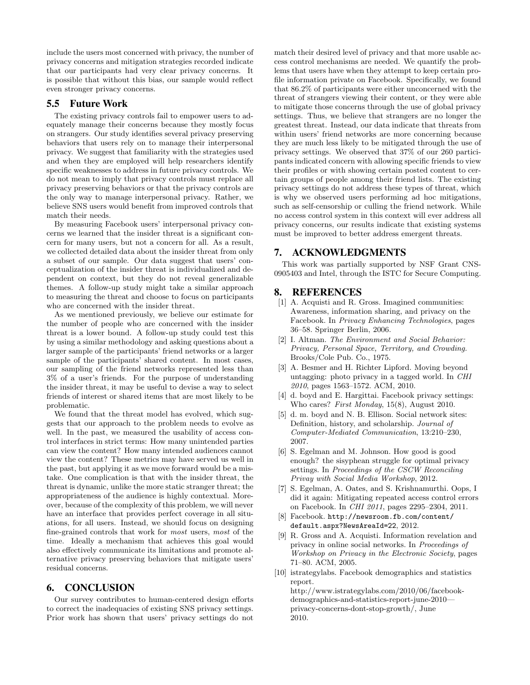include the users most concerned with privacy, the number of privacy concerns and mitigation strategies recorded indicate that our participants had very clear privacy concerns. It is possible that without this bias, our sample would reflect even stronger privacy concerns.

#### 5.5 Future Work

The existing privacy controls fail to empower users to adequately manage their concerns because they mostly focus on strangers. Our study identifies several privacy preserving behaviors that users rely on to manage their interpersonal privacy. We suggest that familiarity with the strategies used and when they are employed will help researchers identify specific weaknesses to address in future privacy controls. We do not mean to imply that privacy controls must replace all privacy preserving behaviors or that the privacy controls are the only way to manage interpersonal privacy. Rather, we believe SNS users would benefit from improved controls that match their needs.

By measuring Facebook users' interpersonal privacy concerns we learned that the insider threat is a significant concern for many users, but not a concern for all. As a result, we collected detailed data about the insider threat from only a subset of our sample. Our data suggest that users' conceptualization of the insider threat is individualized and dependent on context, but they do not reveal generalizable themes. A follow-up study might take a similar approach to measuring the threat and choose to focus on participants who are concerned with the insider threat.

As we mentioned previously, we believe our estimate for the number of people who are concerned with the insider threat is a lower bound. A follow-up study could test this by using a similar methodology and asking questions about a larger sample of the participants' friend networks or a larger sample of the participants' shared content. In most cases, our sampling of the friend networks represented less than 3% of a user's friends. For the purpose of understanding the insider threat, it may be useful to devise a way to select friends of interest or shared items that are most likely to be problematic.

We found that the threat model has evolved, which suggests that our approach to the problem needs to evolve as well. In the past, we measured the usability of access control interfaces in strict terms: How many unintended parties can view the content? How many intended audiences cannot view the content? These metrics may have served us well in the past, but applying it as we move forward would be a mistake. One complication is that with the insider threat, the threat is dynamic, unlike the more static stranger threat; the appropriateness of the audience is highly contextual. Moreover, because of the complexity of this problem, we will never have an interface that provides perfect coverage in all situations, for all users. Instead, we should focus on designing fine-grained controls that work for most users, most of the time. Ideally a mechanism that achieves this goal would also effectively communicate its limitations and promote alternative privacy preserving behaviors that mitigate users' residual concerns.

#### 6. CONCLUSION

Our survey contributes to human-centered design efforts to correct the inadequacies of existing SNS privacy settings. Prior work has shown that users' privacy settings do not

match their desired level of privacy and that more usable access control mechanisms are needed. We quantify the problems that users have when they attempt to keep certain profile information private on Facebook. Specifically, we found that 86.2% of participants were either unconcerned with the threat of strangers viewing their content, or they were able to mitigate those concerns through the use of global privacy settings. Thus, we believe that strangers are no longer the greatest threat. Instead, our data indicate that threats from within users' friend networks are more concerning because they are much less likely to be mitigated through the use of privacy settings. We observed that 37% of our 260 participants indicated concern with allowing specific friends to view their profiles or with showing certain posted content to certain groups of people among their friend lists. The existing privacy settings do not address these types of threat, which is why we observed users performing ad hoc mitigations, such as self-censorship or culling the friend network. While no access control system in this context will ever address all privacy concerns, our results indicate that existing systems must be improved to better address emergent threats.

### 7. ACKNOWLEDGMENTS

This work was partially supported by NSF Grant CNS-0905403 and Intel, through the ISTC for Secure Computing.

### 8. REFERENCES

- [1] A. Acquisti and R. Gross. Imagined communities: Awareness, information sharing, and privacy on the Facebook. In Privacy Enhancing Technologies, pages 36–58. Springer Berlin, 2006.
- [2] I. Altman. The Environment and Social Behavior: Privacy, Personal Space, Territory, and Crowding. Brooks/Cole Pub. Co., 1975.
- [3] A. Besmer and H. Richter Lipford. Moving beyond untagging: photo privacy in a tagged world. In CHI 2010, pages 1563–1572. ACM, 2010.
- [4] d. boyd and E. Hargittai. Facebook privacy settings: Who cares? First Monday, 15(8), August 2010.
- [5] d. m. boyd and N. B. Ellison. Social network sites: Definition, history, and scholarship. Journal of Computer-Mediated Communication, 13:210–230, 2007.
- [6] S. Egelman and M. Johnson. How good is good enough? the sisyphean struggle for optimal privacy settings. In Proceedings of the CSCW Reconciling Privay with Social Media Workshop, 2012.
- [7] S. Egelman, A. Oates, and S. Krishnamurthi. Oops, I did it again: Mitigating repeated access control errors on Facebook. In CHI 2011, pages 2295–2304, 2011.
- [8] Facebook. http://newsroom.fb.com/content/ default.aspx?NewsAreaId=22, 2012.
- [9] R. Gross and A. Acquisti. Information revelation and privacy in online social networks. In Proceedings of Workshop on Privacy in the Electronic Society, pages 71–80. ACM, 2005.
- [10] istrategylabs. Facebook demographics and statistics report.

http://www.istrategylabs.com/2010/06/facebookdemographics-and-statistics-report-june-2010 privacy-concerns-dont-stop-growth/, June 2010.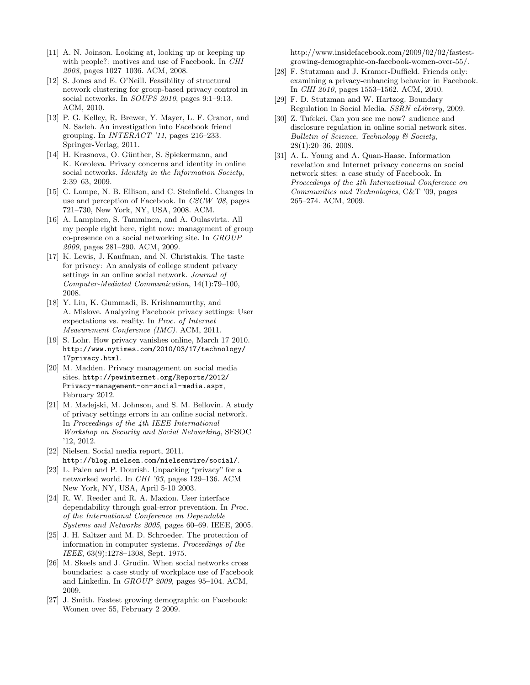- [11] A. N. Joinson. Looking at, looking up or keeping up with people?: motives and use of Facebook. In CHI 2008, pages 1027–1036. ACM, 2008.
- [12] S. Jones and E. O'Neill. Feasibility of structural network clustering for group-based privacy control in social networks. In SOUPS 2010, pages 9:1–9:13. ACM, 2010.
- [13] P. G. Kelley, R. Brewer, Y. Mayer, L. F. Cranor, and N. Sadeh. An investigation into Facebook friend grouping. In INTERACT '11, pages 216–233. Springer-Verlag, 2011.
- [14] H. Krasnova, O. Günther, S. Spiekermann, and K. Koroleva. Privacy concerns and identity in online social networks. Identity in the Information Society, 2:39–63, 2009.
- [15] C. Lampe, N. B. Ellison, and C. Steinfield. Changes in use and perception of Facebook. In CSCW '08, pages 721–730, New York, NY, USA, 2008. ACM.
- [16] A. Lampinen, S. Tamminen, and A. Oulasvirta. All my people right here, right now: management of group co-presence on a social networking site. In GROUP 2009, pages 281–290. ACM, 2009.
- [17] K. Lewis, J. Kaufman, and N. Christakis. The taste for privacy: An analysis of college student privacy settings in an online social network. Journal of Computer-Mediated Communication, 14(1):79–100, 2008.
- [18] Y. Liu, K. Gummadi, B. Krishnamurthy, and A. Mislove. Analyzing Facebook privacy settings: User expectations vs. reality. In Proc. of Internet Measurement Conference (IMC). ACM, 2011.
- [19] S. Lohr. How privacy vanishes online, March 17 2010. http://www.nytimes.com/2010/03/17/technology/ 17privacy.html.
- [20] M. Madden. Privacy management on social media sites. http://pewinternet.org/Reports/2012/ Privacy-management-on-social-media.aspx, February 2012.
- [21] M. Madejski, M. Johnson, and S. M. Bellovin. A study of privacy settings errors in an online social network. In Proceedings of the 4th IEEE International Workshop on Security and Social Networking, SESOC '12, 2012.
- [22] Nielsen. Social media report, 2011. http://blog.nielsen.com/nielsenwire/social/.
- [23] L. Palen and P. Dourish. Unpacking "privacy" for a networked world. In CHI '03, pages 129–136. ACM New York, NY, USA, April 5-10 2003.
- [24] R. W. Reeder and R. A. Maxion. User interface dependability through goal-error prevention. In Proc. of the International Conference on Dependable Systems and Networks 2005, pages 60–69. IEEE, 2005.
- [25] J. H. Saltzer and M. D. Schroeder. The protection of information in computer systems. Proceedings of the IEEE, 63(9):1278–1308, Sept. 1975.
- [26] M. Skeels and J. Grudin. When social networks cross boundaries: a case study of workplace use of Facebook and Linkedin. In GROUP 2009, pages 95–104. ACM, 2009.
- [27] J. Smith. Fastest growing demographic on Facebook: Women over 55, February 2 2009.

http://www.insidefacebook.com/2009/02/02/fastestgrowing-demographic-on-facebook-women-over-55/.

- [28] F. Stutzman and J. Kramer-Duffield. Friends only: examining a privacy-enhancing behavior in Facebook. In CHI 2010, pages 1553–1562. ACM, 2010.
- [29] F. D. Stutzman and W. Hartzog. Boundary Regulation in Social Media. SSRN eLibrary, 2009.
- [30] Z. Tufekci. Can you see me now? audience and disclosure regulation in online social network sites. Bulletin of Science, Technology & Society, 28(1):20–36, 2008.
- [31] A. L. Young and A. Quan-Haase. Information revelation and Internet privacy concerns on social network sites: a case study of Facebook. In Proceedings of the 4th International Conference on Communities and Technologies, C&T '09, pages 265–274. ACM, 2009.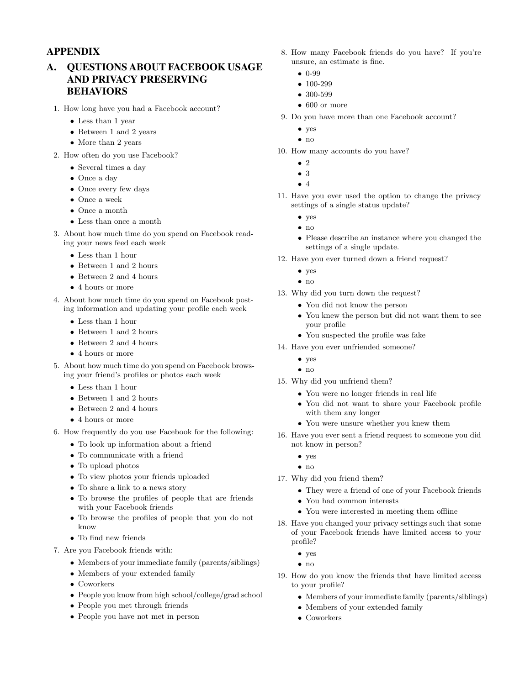### APPENDIX

# A. QUESTIONS ABOUT FACEBOOK USAGE AND PRIVACY PRESERVING BEHAVIORS

- 1. How long have you had a Facebook account?
	- Less than 1 year
	- Between 1 and 2 years
	- More than 2 years
- 2. How often do you use Facebook?
	- Several times a day
	- Once a day
	- Once every few days
	- Once a week
	- Once a month
	- Less than once a month
- 3. About how much time do you spend on Facebook reading your news feed each week
	- Less than 1 hour
	- Between 1 and 2 hours
	- Between 2 and 4 hours
	- 4 hours or more
- 4. About how much time do you spend on Facebook posting information and updating your profile each week
	- Less than 1 hour
	- Between 1 and 2 hours
	- Between 2 and 4 hours
	- 4 hours or more
- 5. About how much time do you spend on Facebook browsing your friend's profiles or photos each week
	- Less than 1 hour
	- Between 1 and 2 hours
	- Between 2 and 4 hours
	- 4 hours or more
- 6. How frequently do you use Facebook for the following:
	- To look up information about a friend
	- To communicate with a friend
	- To upload photos
	- To view photos your friends uploaded
	- To share a link to a news story
	- To browse the profiles of people that are friends with your Facebook friends
	- To browse the profiles of people that you do not know
	- To find new friends
- 7. Are you Facebook friends with:
	- Members of your immediate family (parents/siblings)
	- Members of your extended family
	- Coworkers
	- People you know from high school/college/grad school
	- People you met through friends
	- People you have not met in person
- 8. How many Facebook friends do you have? If you're unsure, an estimate is fine.
	- 0-99
	- 100-299
	- 300-599
	- 600 or more
- 9. Do you have more than one Facebook account?
	- yes
	- no
- 10. How many accounts do you have?
	- 2
	- 3
	- $\bullet$  4
- 11. Have you ever used the option to change the privacy settings of a single status update?
	- yes
	- no
	- Please describe an instance where you changed the settings of a single update.
- 12. Have you ever turned down a friend request?
	- yes
	- no
- 13. Why did you turn down the request?
	- You did not know the person
	- You knew the person but did not want them to see your profile
	- You suspected the profile was fake
- 14. Have you ever unfriended someone?
	- yes
	- no
- 15. Why did you unfriend them?
	- You were no longer friends in real life
	- You did not want to share your Facebook profile with them any longer
	- You were unsure whether you knew them
- 16. Have you ever sent a friend request to someone you did not know in person?
	- yes
	- no
- 17. Why did you friend them?
	- They were a friend of one of your Facebook friends
	- You had common interests
	- You were interested in meeting them offline
- 18. Have you changed your privacy settings such that some of your Facebook friends have limited access to your profile?
	- yes
	- $\bullet$  no
- 19. How do you know the friends that have limited access to your profile?
	- Members of your immediate family (parents/siblings)
	- Members of your extended family
	- Coworkers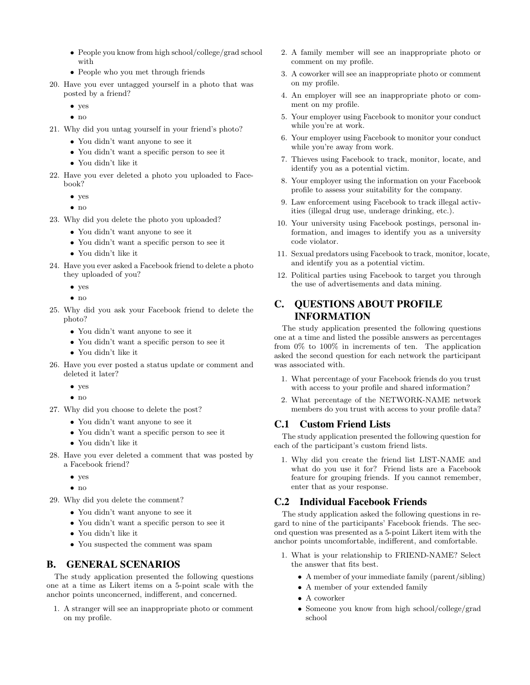- People you know from high school/college/grad school with
- People who you met through friends
- 20. Have you ever untagged yourself in a photo that was posted by a friend?
	- yes
	- $\bullet$  no
- 21. Why did you untag yourself in your friend's photo?
	- You didn't want anyone to see it
	- You didn't want a specific person to see it
	- You didn't like it
- 22. Have you ever deleted a photo you uploaded to Facebook?
	- yes
	- no
- 23. Why did you delete the photo you uploaded?
	- You didn't want anyone to see it
	- You didn't want a specific person to see it
	- You didn't like it
- 24. Have you ever asked a Facebook friend to delete a photo they uploaded of you?
	- yes
	- no
- 25. Why did you ask your Facebook friend to delete the photo?
	- You didn't want anyone to see it
	- You didn't want a specific person to see it
	- You didn't like it
- 26. Have you ever posted a status update or comment and deleted it later?
	- yes
	- no
- 27. Why did you choose to delete the post?
	- You didn't want anyone to see it
	- You didn't want a specific person to see it
	- You didn't like it
- 28. Have you ever deleted a comment that was posted by a Facebook friend?
	- yes
	- no
- 29. Why did you delete the comment?
	- You didn't want anyone to see it
	- You didn't want a specific person to see it
	- You didn't like it
	- You suspected the comment was spam

### B. GENERAL SCENARIOS

The study application presented the following questions one at a time as Likert items on a 5-point scale with the anchor points unconcerned, indifferent, and concerned.

1. A stranger will see an inappropriate photo or comment on my profile.

- 2. A family member will see an inappropriate photo or comment on my profile.
- 3. A coworker will see an inappropriate photo or comment on my profile.
- 4. An employer will see an inappropriate photo or comment on my profile.
- 5. Your employer using Facebook to monitor your conduct while you're at work.
- 6. Your employer using Facebook to monitor your conduct while you're away from work.
- 7. Thieves using Facebook to track, monitor, locate, and identify you as a potential victim.
- 8. Your employer using the information on your Facebook profile to assess your suitability for the company.
- 9. Law enforcement using Facebook to track illegal activities (illegal drug use, underage drinking, etc.).
- 10. Your university using Facebook postings, personal information, and images to identify you as a university code violator.
- 11. Sexual predators using Facebook to track, monitor, locate, and identify you as a potential victim.
- 12. Political parties using Facebook to target you through the use of advertisements and data mining.

## C. QUESTIONS ABOUT PROFILE INFORMATION

The study application presented the following questions one at a time and listed the possible answers as percentages from 0% to 100% in increments of ten. The application asked the second question for each network the participant was associated with.

- 1. What percentage of your Facebook friends do you trust with access to your profile and shared information?
- 2. What percentage of the NETWORK-NAME network members do you trust with access to your profile data?

### C.1 Custom Friend Lists

The study application presented the following question for each of the participant's custom friend lists.

1. Why did you create the friend list LIST-NAME and what do you use it for? Friend lists are a Facebook feature for grouping friends. If you cannot remember, enter that as your response.

### C.2 Individual Facebook Friends

The study application asked the following questions in regard to nine of the participants' Facebook friends. The second question was presented as a 5-point Likert item with the anchor points uncomfortable, indifferent, and comfortable.

- 1. What is your relationship to FRIEND-NAME? Select the answer that fits best.
	- A member of your immediate family (parent/sibling)
	- A member of your extended family
	- A coworker
	- Someone you know from high school/college/grad school